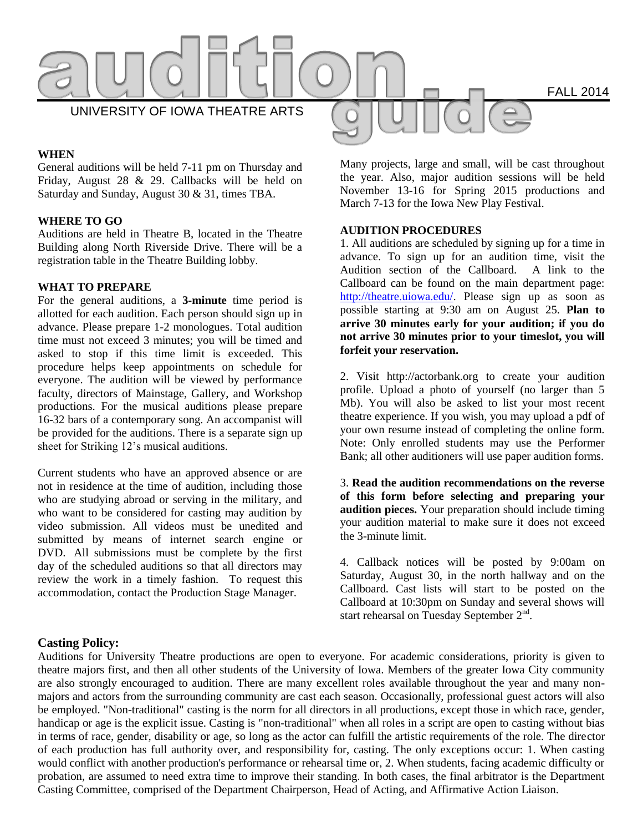

## **WHEN**

General auditions will be held 7-11 pm on Thursday and Friday, August 28 & 29. Callbacks will be held on Saturday and Sunday, August 30 & 31, times TBA.

## **WHERE TO GO**

Auditions are held in Theatre B, located in the Theatre Building along North Riverside Drive. There will be a registration table in the Theatre Building lobby.

#### **WHAT TO PREPARE**

For the general auditions, a **3-minute** time period is allotted for each audition. Each person should sign up in advance. Please prepare 1-2 monologues. Total audition time must not exceed 3 minutes; you will be timed and asked to stop if this time limit is exceeded. This procedure helps keep appointments on schedule for everyone. The audition will be viewed by performance faculty, directors of Mainstage, Gallery, and Workshop productions. For the musical auditions please prepare 16-32 bars of a contemporary song. An accompanist will be provided for the auditions. There is a separate sign up sheet for Striking 12's musical auditions.

Current students who have an approved absence or are not in residence at the time of audition, including those who are studying abroad or serving in the military, and who want to be considered for casting may audition by video submission. All videos must be unedited and submitted by means of internet search engine or DVD. All submissions must be complete by the first day of the scheduled auditions so that all directors may review the work in a timely fashion. To request this accommodation, contact the Production Stage Manager.

Many projects, large and small, will be cast throughout the year. Also, major audition sessions will be held November 13-16 for Spring 2015 productions and March 7-13 for the Iowa New Play Festival.

## **AUDITION PROCEDURES**

1. All auditions are scheduled by signing up for a time in advance. To sign up for an audition time, visit the Audition section of the Callboard. A link to the Callboard can be found on the main department page: [http://theatre.uiowa.edu/.](http://theatre.uiowa.edu/) Please sign up as soon as possible starting at 9:30 am on August 25. **Plan to arrive 30 minutes early for your audition; if you do not arrive 30 minutes prior to your timeslot, you will forfeit your reservation.**

2. Visit http://actorbank.org to create your audition profile. Upload a photo of yourself (no larger than 5 Mb). You will also be asked to list your most recent theatre experience. If you wish, you may upload a pdf of your own resume instead of completing the online form. Note: Only enrolled students may use the Performer Bank; all other auditioners will use paper audition forms.

3. **Read the audition recommendations on the reverse of this form before selecting and preparing your audition pieces.** Your preparation should include timing your audition material to make sure it does not exceed the 3-minute limit.

4. Callback notices will be posted by 9:00am on Saturday, August 30, in the north hallway and on the Callboard. Cast lists will start to be posted on the Callboard at 10:30pm on Sunday and several shows will start rehearsal on Tuesday September  $2<sup>nd</sup>$ .

# **Casting Policy:**

Auditions for University Theatre productions are open to everyone. For academic considerations, priority is given to theatre majors first, and then all other students of the University of Iowa. Members of the greater Iowa City community are also strongly encouraged to audition. There are many excellent roles available throughout the year and many nonmajors and actors from the surrounding community are cast each season. Occasionally, professional guest actors will also be employed. "Non-traditional" casting is the norm for all directors in all productions, except those in which race, gender, handicap or age is the explicit issue. Casting is "non-traditional" when all roles in a script are open to casting without bias in terms of race, gender, disability or age, so long as the actor can fulfill the artistic requirements of the role. The director of each production has full authority over, and responsibility for, casting. The only exceptions occur: 1. When casting would conflict with another production's performance or rehearsal time or, 2. When students, facing academic difficulty or probation, are assumed to need extra time to improve their standing. In both cases, the final arbitrator is the Department Casting Committee, comprised of the Department Chairperson, Head of Acting, and Affirmative Action Liaison.